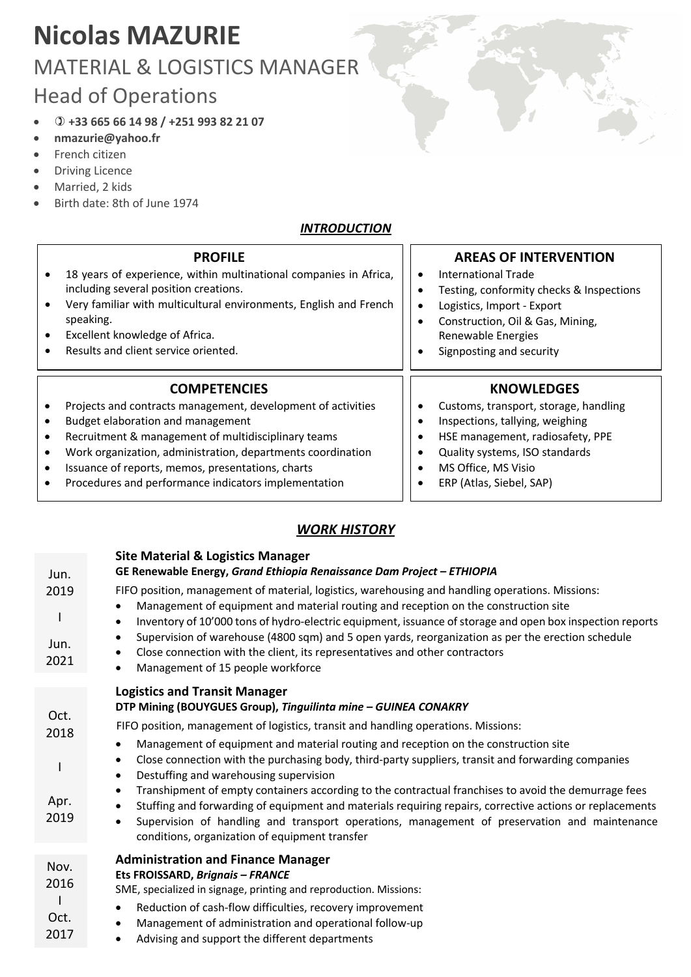## **Nicolas MAZURIE** MATERIAL & LOGISTICS MANAGER Head of Operations

- ) **+33 665 66 14 98 / +251 993 82 21 07**
- **nmazurie@yahoo.fr**
- French citizen
- Driving Licence
- Married, 2 kids
- Birth date: 8th of June 1974

## *INTRODUCTION*

|   | <b>PROFILE</b><br>18 years of experience, within multinational companies in Africa,<br>including several position creations.<br>Very familiar with multicultural environments, English and French<br>speaking.<br>Excellent knowledge of Africa.<br>Results and client service oriented. | <b>AREAS OF INTERVENTION</b><br>International Trade<br>Testing, conformity checks & Inspections<br>Logistics, Import - Export<br>Construction, Oil & Gas, Mining,<br>Renewable Energies<br>Signposting and security |
|---|------------------------------------------------------------------------------------------------------------------------------------------------------------------------------------------------------------------------------------------------------------------------------------------|---------------------------------------------------------------------------------------------------------------------------------------------------------------------------------------------------------------------|
|   | <b>COMPETENCIES</b>                                                                                                                                                                                                                                                                      | <b>KNOWLEDGES</b>                                                                                                                                                                                                   |
|   | Projects and contracts management, development of activities                                                                                                                                                                                                                             | Customs, transport, storage, handling                                                                                                                                                                               |
| ٠ | Budget elaboration and management                                                                                                                                                                                                                                                        | Inspections, tallying, weighing                                                                                                                                                                                     |
|   | Recruitment & management of multidisciplinary teams                                                                                                                                                                                                                                      | HSE management, radiosafety, PPE                                                                                                                                                                                    |
| ٠ | Work organization, administration, departments coordination                                                                                                                                                                                                                              | Quality systems, ISO standards                                                                                                                                                                                      |
| ٠ | Issuance of reports, memos, presentations, charts                                                                                                                                                                                                                                        | MS Office, MS Visio                                                                                                                                                                                                 |
|   | Procedures and performance indicators implementation                                                                                                                                                                                                                                     | ERP (Atlas, Siebel, SAP)                                                                                                                                                                                            |

## *WORK HISTORY*

| Jun.                         | <b>Site Material &amp; Logistics Manager</b><br>GE Renewable Energy, Grand Ethiopia Renaissance Dam Project - ETHIOPIA                                                                                                                                                                                                                                                                                                                                                                                                                                                                                                                                                                                                                                                                                                                                                     |
|------------------------------|----------------------------------------------------------------------------------------------------------------------------------------------------------------------------------------------------------------------------------------------------------------------------------------------------------------------------------------------------------------------------------------------------------------------------------------------------------------------------------------------------------------------------------------------------------------------------------------------------------------------------------------------------------------------------------------------------------------------------------------------------------------------------------------------------------------------------------------------------------------------------|
| 2019<br>Jun.<br>2021         | FIFO position, management of material, logistics, warehousing and handling operations. Missions:<br>Management of equipment and material routing and reception on the construction site<br>$\bullet$<br>Inventory of 10'000 tons of hydro-electric equipment, issuance of storage and open box inspection reports<br>$\bullet$<br>Supervision of warehouse (4800 sqm) and 5 open yards, reorganization as per the erection schedule<br>$\bullet$<br>Close connection with the client, its representatives and other contractors<br>٠<br>Management of 15 people workforce                                                                                                                                                                                                                                                                                                  |
| Oct.<br>2018<br>Apr.<br>2019 | <b>Logistics and Transit Manager</b><br>DTP Mining (BOUYGUES Group), Tinguilinta mine - GUINEA CONAKRY<br>FIFO position, management of logistics, transit and handling operations. Missions:<br>Management of equipment and material routing and reception on the construction site<br>$\bullet$<br>Close connection with the purchasing body, third-party suppliers, transit and forwarding companies<br>$\bullet$<br>Destuffing and warehousing supervision<br>$\bullet$<br>Transhipment of empty containers according to the contractual franchises to avoid the demurrage fees<br>$\bullet$<br>Stuffing and forwarding of equipment and materials requiring repairs, corrective actions or replacements<br>Supervision of handling and transport operations, management of preservation and maintenance<br>$\bullet$<br>conditions, organization of equipment transfer |
| Nov.<br>2016<br>Oct.<br>2017 | <b>Administration and Finance Manager</b><br>Ets FROISSARD, Brignais - FRANCE<br>SME, specialized in signage, printing and reproduction. Missions:<br>Reduction of cash-flow difficulties, recovery improvement<br>$\bullet$<br>Management of administration and operational follow-up<br>$\bullet$                                                                                                                                                                                                                                                                                                                                                                                                                                                                                                                                                                        |

Advising and support the different departments 2017